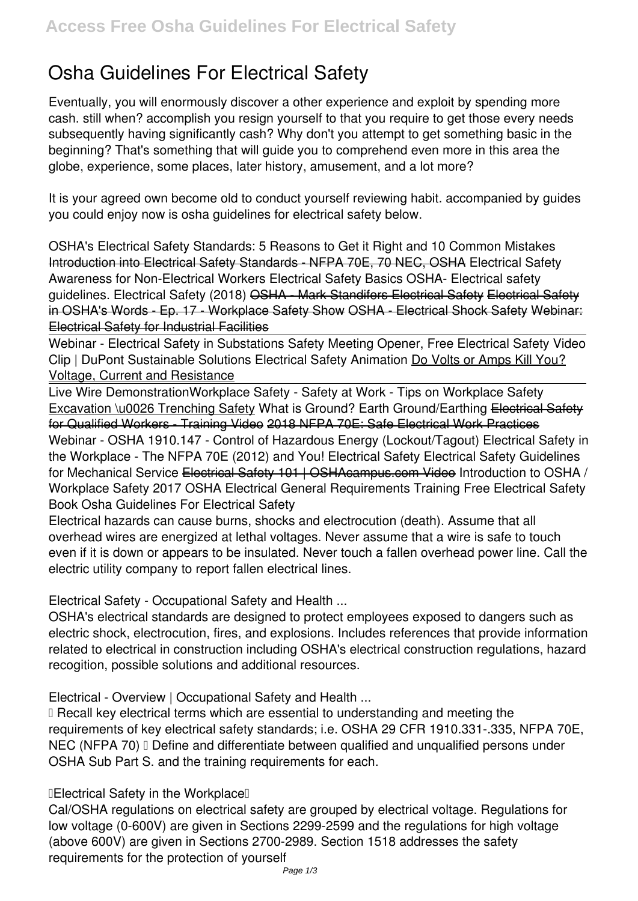# **Osha Guidelines For Electrical Safety**

Eventually, you will enormously discover a other experience and exploit by spending more cash. still when? accomplish you resign yourself to that you require to get those every needs subsequently having significantly cash? Why don't you attempt to get something basic in the beginning? That's something that will guide you to comprehend even more in this area the globe, experience, some places, later history, amusement, and a lot more?

It is your agreed own become old to conduct yourself reviewing habit. accompanied by guides you could enjoy now is **osha guidelines for electrical safety** below.

OSHA's Electrical Safety Standards: 5 Reasons to Get it Right and 10 Common Mistakes Introduction into Electrical Safety Standards - NFPA 70E, 70 NEC, OSHA *Electrical Safety Awareness for Non-Electrical Workers* Electrical Safety Basics *OSHA- Electrical safety guidelines.* Electrical Safety (2018) OSHA - Mark Standifers Electrical Safety Electrical Safety in OSHA's Words - Ep. 17 - Workplace Safety Show OSHA - Electrical Shock Safety Webinar: Electrical Safety for Industrial Facilities

Webinar - Electrical Safety in Substations Safety Meeting Opener, Free Electrical Safety Video Clip | DuPont Sustainable Solutions Electrical Safety Animation Do Volts or Amps Kill You? Voltage, Current and Resistance

Live Wire Demonstration*Workplace Safety - Safety at Work - Tips on Workplace Safety* Excavation \u0026 Trenching Safety What is Ground? Earth Ground/Earthing Electrical Safety for Qualified Workers - Training Video 2018 NFPA 70E: Safe Electrical Work Practices

Webinar - OSHA 1910.147 - Control of Hazardous Energy (Lockout/Tagout) Electrical Safety in the Workplace - The NFPA 70E (2012) and You! Electrical Safety Electrical Safety Guidelines for Mechanical Service Electrical Safety 101 | OSHAcampus.com Video **Introduction to OSHA / Workplace Safety 2017** *OSHA Electrical General Requirements Training* **Free Electrical Safety Book Osha Guidelines For Electrical Safety**

Electrical hazards can cause burns, shocks and electrocution (death). Assume that all overhead wires are energized at lethal voltages. Never assume that a wire is safe to touch even if it is down or appears to be insulated. Never touch a fallen overhead power line. Call the electric utility company to report fallen electrical lines.

**Electrical Safety - Occupational Safety and Health ...**

OSHA's electrical standards are designed to protect employees exposed to dangers such as electric shock, electrocution, fires, and explosions. Includes references that provide information related to electrical in construction including OSHA's electrical construction regulations, hazard recogition, possible solutions and additional resources.

**Electrical - Overview | Occupational Safety and Health ...**

I Recall key electrical terms which are essential to understanding and meeting the requirements of key electrical safety standards; i.e. OSHA 29 CFR 1910.331-.335, NFPA 70E, NEC (NFPA 70) I Define and differentiate between qualified and unqualified persons under OSHA Sub Part S. and the training requirements for each.

**"Electrical Safety in the Workplace"**

Cal/OSHA regulations on electrical safety are grouped by electrical voltage. Regulations for low voltage (0-600V) are given in Sections 2299-2599 and the regulations for high voltage (above 600V) are given in Sections 2700-2989. Section 1518 addresses the safety requirements for the protection of yourself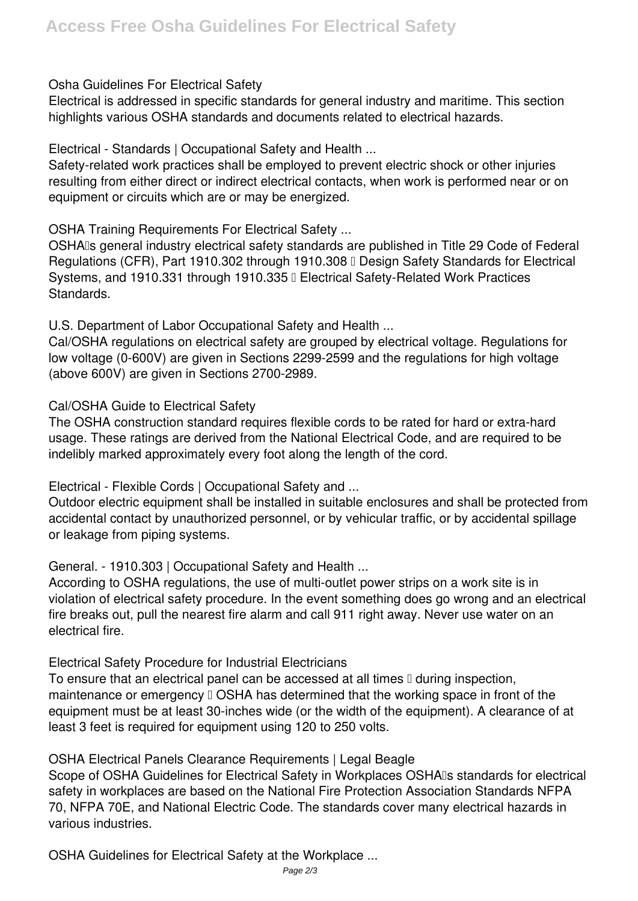# **Osha Guidelines For Electrical Safety**

Electrical is addressed in specific standards for general industry and maritime. This section highlights various OSHA standards and documents related to electrical hazards.

**Electrical - Standards | Occupational Safety and Health ...**

Safety-related work practices shall be employed to prevent electric shock or other injuries resulting from either direct or indirect electrical contacts, when work is performed near or on equipment or circuits which are or may be energized.

**OSHA Training Requirements For Electrical Safety ...**

OSHAIs general industry electrical safety standards are published in Title 29 Code of Federal Regulations (CFR), Part 1910.302 through 1910.308 II Design Safety Standards for Electrical Systems, and 1910.331 through 1910.335 | Electrical Safety-Related Work Practices Standards.

**U.S. Department of Labor Occupational Safety and Health ...**

Cal/OSHA regulations on electrical safety are grouped by electrical voltage. Regulations for low voltage (0-600V) are given in Sections 2299-2599 and the regulations for high voltage (above 600V) are given in Sections 2700-2989.

**Cal/OSHA Guide to Electrical Safety**

The OSHA construction standard requires flexible cords to be rated for hard or extra-hard usage. These ratings are derived from the National Electrical Code, and are required to be indelibly marked approximately every foot along the length of the cord.

**Electrical - Flexible Cords | Occupational Safety and ...**

Outdoor electric equipment shall be installed in suitable enclosures and shall be protected from accidental contact by unauthorized personnel, or by vehicular traffic, or by accidental spillage or leakage from piping systems.

**General. - 1910.303 | Occupational Safety and Health ...**

According to OSHA regulations, the use of multi-outlet power strips on a work site is in violation of electrical safety procedure. In the event something does go wrong and an electrical fire breaks out, pull the nearest fire alarm and call 911 right away. Never use water on an electrical fire.

**Electrical Safety Procedure for Industrial Electricians**

To ensure that an electrical panel can be accessed at all times  $\mathbb I$  during inspection, maintenance or emergency  $\Box$  OSHA has determined that the working space in front of the equipment must be at least 30-inches wide (or the width of the equipment). A clearance of at least 3 feet is required for equipment using 120 to 250 volts.

**OSHA Electrical Panels Clearance Requirements | Legal Beagle**

Scope of OSHA Guidelines for Electrical Safety in Workplaces OSHAIs standards for electrical safety in workplaces are based on the National Fire Protection Association Standards NFPA 70, NFPA 70E, and National Electric Code. The standards cover many electrical hazards in various industries.

**OSHA Guidelines for Electrical Safety at the Workplace ...**